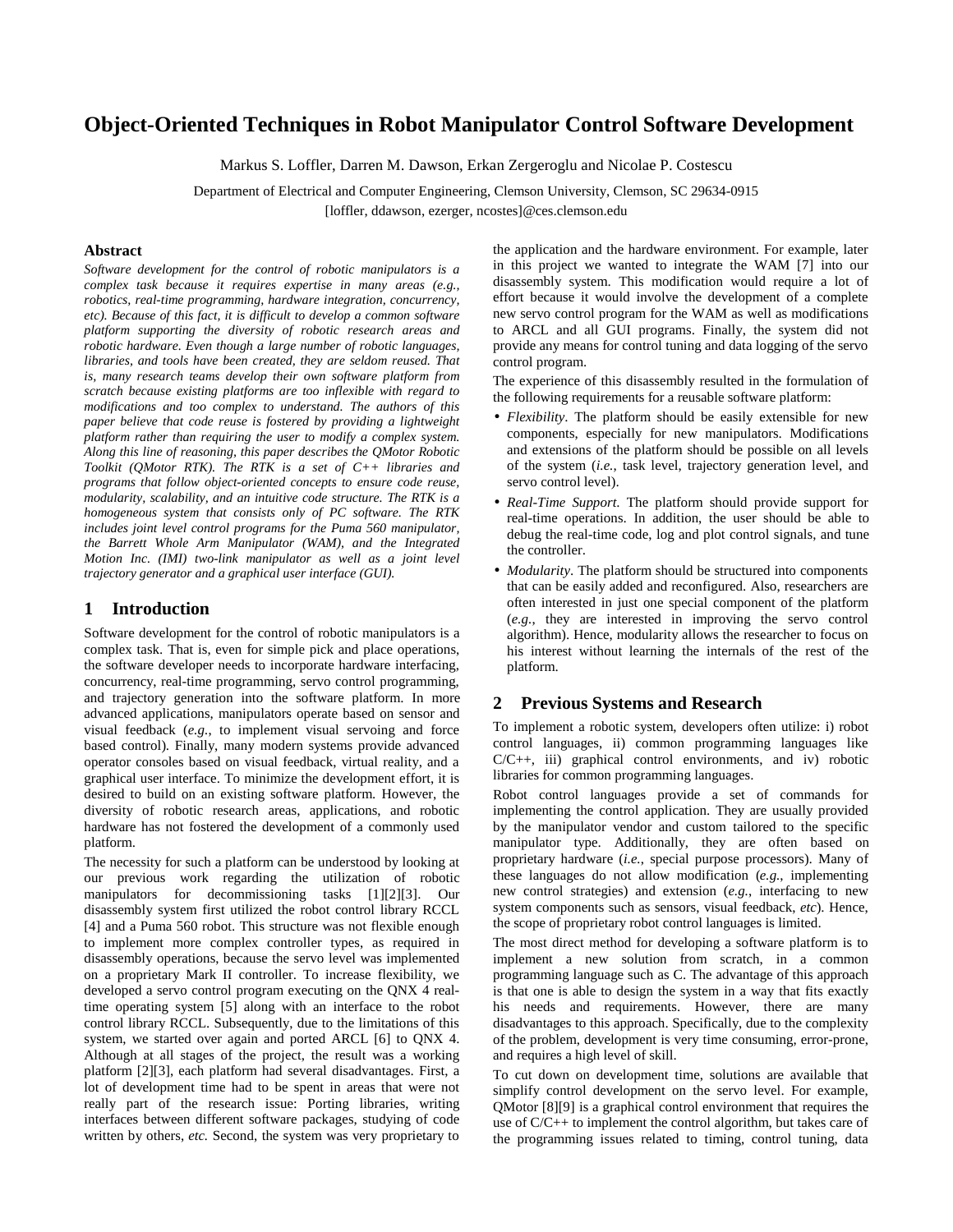# **Object-Oriented Techniques in Robot Manipulator Control Software Development**

Markus S. Loffler, Darren M. Dawson, Erkan Zergeroglu and Nicolae P. Costescu

Department of Electrical and Computer Engineering, Clemson University, Clemson, SC 29634-0915

[loffler, ddawson, ezerger, ncostes]@ces.clemson.edu

#### **Abstract**

*Software development for the control of robotic manipulators is a complex task because it requires expertise in many areas (e.g., robotics, real-time programming, hardware integration, concurrency, etc). Because of this fact, it is difficult to develop a common software platform supporting the diversity of robotic research areas and robotic hardware. Even though a large number of robotic languages, libraries, and tools have been created, they are seldom reused. That is, many research teams develop their own software platform from scratch because existing platforms are too inflexible with regard to modifications and too complex to understand. The authors of this paper believe that code reuse is fostered by providing a lightweight platform rather than requiring the user to modify a complex system. Along this line of reasoning, this paper describes the QMotor Robotic Toolkit (QMotor RTK). The RTK is a set of C++ libraries and programs that follow object-oriented concepts to ensure code reuse, modularity, scalability, and an intuitive code structure. The RTK is a homogeneous system that consists only of PC software. The RTK includes joint level control programs for the Puma 560 manipulator, the Barrett Whole Arm Manipulator (WAM), and the Integrated Motion Inc. (IMI) two-link manipulator as well as a joint level trajectory generator and a graphical user interface (GUI).* 

## **1 Introduction**

Software development for the control of robotic manipulators is a complex task. That is, even for simple pick and place operations, the software developer needs to incorporate hardware interfacing, concurrency, real-time programming, servo control programming, and trajectory generation into the software platform. In more advanced applications, manipulators operate based on sensor and visual feedback (*e.g.*, to implement visual servoing and force based control). Finally, many modern systems provide advanced operator consoles based on visual feedback, virtual reality, and a graphical user interface. To minimize the development effort, it is desired to build on an existing software platform. However, the diversity of robotic research areas, applications, and robotic hardware has not fostered the development of a commonly used platform.

The necessity for such a platform can be understood by looking at our previous work regarding the utilization of robotic manipulators for decommissioning tasks [1][2][3]. Our disassembly system first utilized the robot control library RCCL [4] and a Puma 560 robot. This structure was not flexible enough to implement more complex controller types, as required in disassembly operations, because the servo level was implemented on a proprietary Mark II controller. To increase flexibility, we developed a servo control program executing on the QNX 4 realtime operating system [5] along with an interface to the robot control library RCCL. Subsequently, due to the limitations of this system, we started over again and ported ARCL [6] to QNX 4. Although at all stages of the project, the result was a working platform [2][3], each platform had several disadvantages. First, a lot of development time had to be spent in areas that were not really part of the research issue: Porting libraries, writing interfaces between different software packages, studying of code written by others, *etc.* Second, the system was very proprietary to

the application and the hardware environment. For example, later in this project we wanted to integrate the WAM [7] into our disassembly system. This modification would require a lot of effort because it would involve the development of a complete new servo control program for the WAM as well as modifications to ARCL and all GUI programs. Finally, the system did not provide any means for control tuning and data logging of the servo control program.

The experience of this disassembly resulted in the formulation of the following requirements for a reusable software platform:

- *Flexibility*. The platform should be easily extensible for new components, especially for new manipulators. Modifications and extensions of the platform should be possible on all levels of the system (*i.e.*, task level, trajectory generation level, and servo control level).
- *Real-Time Support*. The platform should provide support for real-time operations. In addition, the user should be able to debug the real-time code, log and plot control signals, and tune the controller.
- *Modularity*. The platform should be structured into components that can be easily added and reconfigured. Also, researchers are often interested in just one special component of the platform (*e.g.*, they are interested in improving the servo control algorithm). Hence, modularity allows the researcher to focus on his interest without learning the internals of the rest of the platform.

### **2 Previous Systems and Research**

To implement a robotic system, developers often utilize: i) robot control languages, ii) common programming languages like C/C++, iii) graphical control environments, and iv) robotic libraries for common programming languages.

Robot control languages provide a set of commands for implementing the control application. They are usually provided by the manipulator vendor and custom tailored to the specific manipulator type. Additionally, they are often based on proprietary hardware (*i.e.*, special purpose processors). Many of these languages do not allow modification (*e.g.*, implementing new control strategies) and extension (*e.g.*, interfacing to new system components such as sensors, visual feedback, *etc*). Hence, the scope of proprietary robot control languages is limited.

The most direct method for developing a software platform is to implement a new solution from scratch, in a common programming language such as C. The advantage of this approach is that one is able to design the system in a way that fits exactly his needs and requirements. However, there are many disadvantages to this approach. Specifically, due to the complexity of the problem, development is very time consuming, error-prone, and requires a high level of skill.

To cut down on development time, solutions are available that simplify control development on the servo level. For example, QMotor [8][9] is a graphical control environment that requires the use of C/C++ to implement the control algorithm, but takes care of the programming issues related to timing, control tuning, data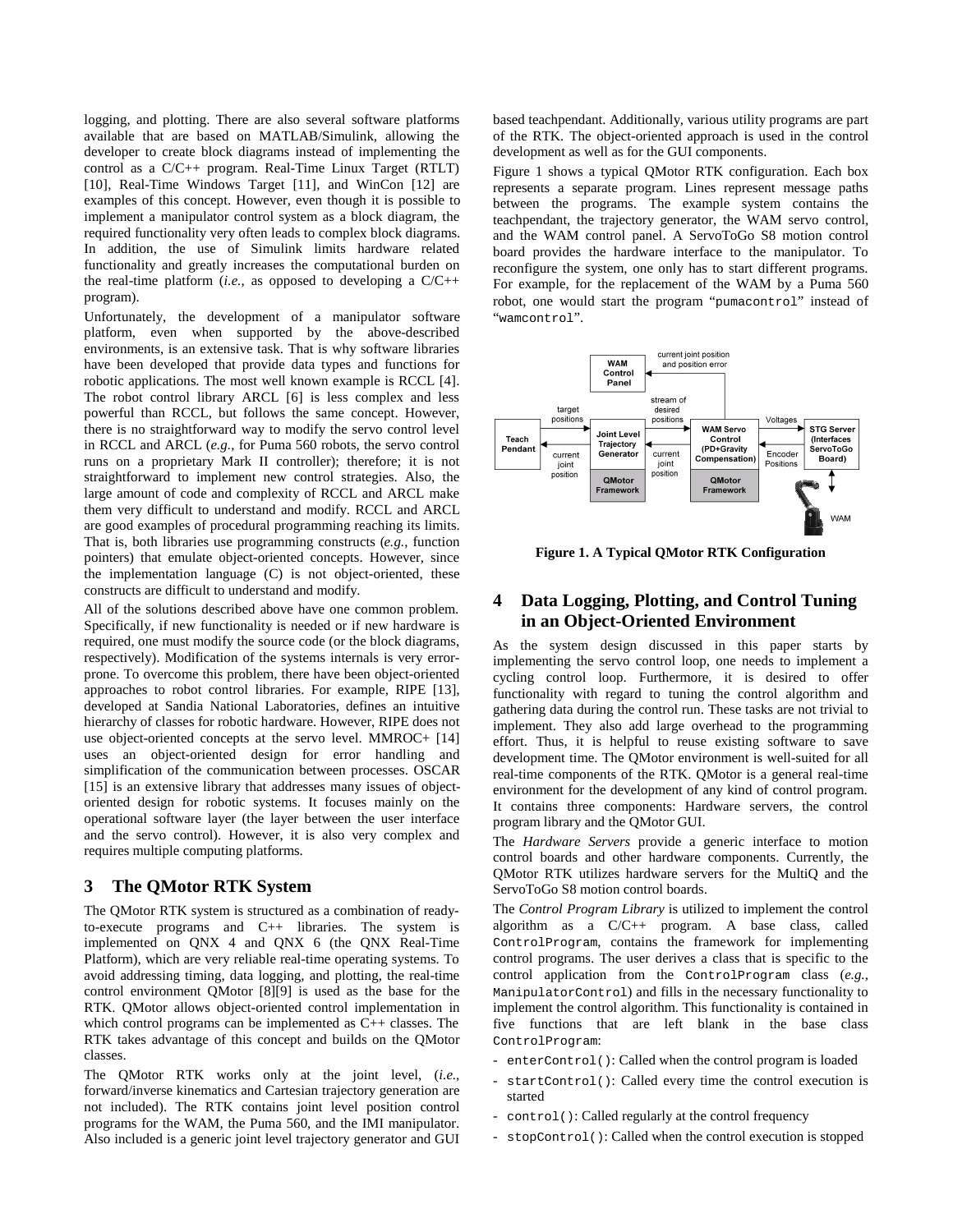logging, and plotting. There are also several software platforms available that are based on MATLAB/Simulink, allowing the developer to create block diagrams instead of implementing the control as a C/C++ program. Real-Time Linux Target (RTLT) [10], Real-Time Windows Target [11], and WinCon [12] are examples of this concept. However, even though it is possible to implement a manipulator control system as a block diagram, the required functionality very often leads to complex block diagrams. In addition, the use of Simulink limits hardware related functionality and greatly increases the computational burden on the real-time platform (*i.e.*, as opposed to developing a C/C++ program).

Unfortunately, the development of a manipulator software platform, even when supported by the above-described environments, is an extensive task. That is why software libraries have been developed that provide data types and functions for robotic applications. The most well known example is RCCL [4]. The robot control library ARCL [6] is less complex and less powerful than RCCL, but follows the same concept. However, there is no straightforward way to modify the servo control level in RCCL and ARCL (*e.g.*, for Puma 560 robots, the servo control runs on a proprietary Mark II controller); therefore; it is not straightforward to implement new control strategies. Also, the large amount of code and complexity of RCCL and ARCL make them very difficult to understand and modify. RCCL and ARCL are good examples of procedural programming reaching its limits. That is, both libraries use programming constructs (*e.g.*, function pointers) that emulate object-oriented concepts. However, since the implementation language (C) is not object-oriented, these constructs are difficult to understand and modify.

All of the solutions described above have one common problem. Specifically, if new functionality is needed or if new hardware is required, one must modify the source code (or the block diagrams, respectively). Modification of the systems internals is very errorprone. To overcome this problem, there have been object-oriented approaches to robot control libraries. For example, RIPE [13], developed at Sandia National Laboratories, defines an intuitive hierarchy of classes for robotic hardware. However, RIPE does not use object-oriented concepts at the servo level. MMROC+ [14] uses an object-oriented design for error handling and simplification of the communication between processes. OSCAR [15] is an extensive library that addresses many issues of objectoriented design for robotic systems. It focuses mainly on the operational software layer (the layer between the user interface and the servo control). However, it is also very complex and requires multiple computing platforms.

## **3 The QMotor RTK System**

The QMotor RTK system is structured as a combination of readyto-execute programs and C++ libraries. The system is implemented on QNX 4 and QNX 6 (the QNX Real-Time Platform), which are very reliable real-time operating systems. To avoid addressing timing, data logging, and plotting, the real-time control environment QMotor [8][9] is used as the base for the RTK. QMotor allows object-oriented control implementation in which control programs can be implemented as C++ classes. The RTK takes advantage of this concept and builds on the QMotor classes.

The QMotor RTK works only at the joint level, (*i.e.*, forward/inverse kinematics and Cartesian trajectory generation are not included). The RTK contains joint level position control programs for the WAM, the Puma 560, and the IMI manipulator. Also included is a generic joint level trajectory generator and GUI based teachpendant. Additionally, various utility programs are part of the RTK. The object-oriented approach is used in the control development as well as for the GUI components.

Figure 1 shows a typical QMotor RTK configuration. Each box represents a separate program. Lines represent message paths between the programs. The example system contains the teachpendant, the trajectory generator, the WAM servo control, and the WAM control panel. A ServoToGo S8 motion control board provides the hardware interface to the manipulator. To reconfigure the system, one only has to start different programs. For example, for the replacement of the WAM by a Puma 560 robot, one would start the program "pumacontrol" instead of "wamcontrol".



**Figure 1. A Typical QMotor RTK Configuration** 

## **4 Data Logging, Plotting, and Control Tuning in an Object-Oriented Environment**

As the system design discussed in this paper starts by implementing the servo control loop, one needs to implement a cycling control loop. Furthermore, it is desired to offer functionality with regard to tuning the control algorithm and gathering data during the control run. These tasks are not trivial to implement. They also add large overhead to the programming effort. Thus, it is helpful to reuse existing software to save development time. The QMotor environment is well-suited for all real-time components of the RTK. QMotor is a general real-time environment for the development of any kind of control program. It contains three components: Hardware servers, the control program library and the QMotor GUI.

The *Hardware Servers* provide a generic interface to motion control boards and other hardware components. Currently, the QMotor RTK utilizes hardware servers for the MultiQ and the ServoToGo S8 motion control boards.

The *Control Program Library* is utilized to implement the control algorithm as a C/C++ program. A base class, called ControlProgram, contains the framework for implementing control programs. The user derives a class that is specific to the control application from the ControlProgram class (*e.g.*, ManipulatorControl) and fills in the necessary functionality to implement the control algorithm. This functionality is contained in five functions that are left blank in the base class ControlProgram:

- enterControl(): Called when the control program is loaded
- startControl(): Called every time the control execution is started
- control(): Called regularly at the control frequency
- stopControl(): Called when the control execution is stopped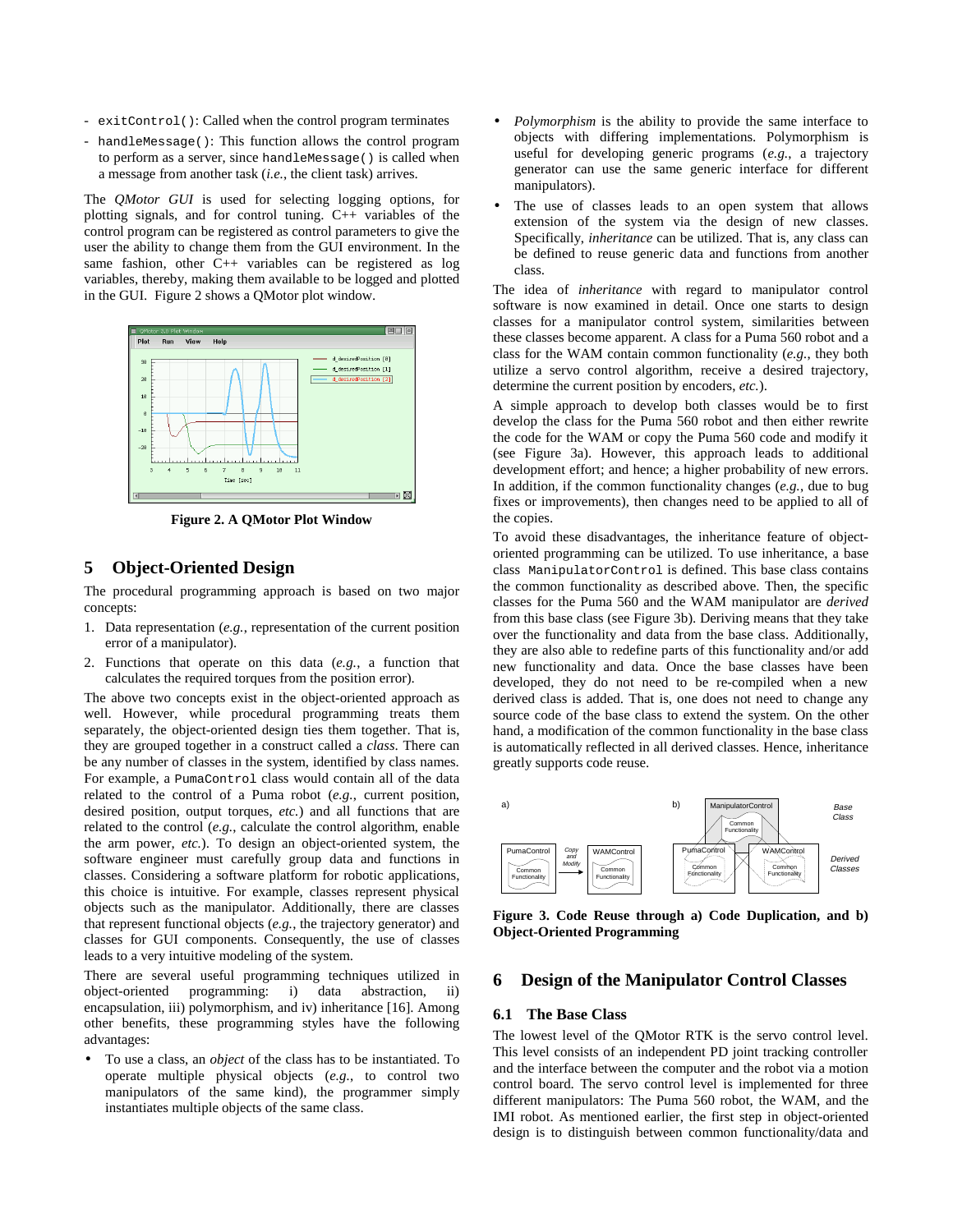- exitControl(): Called when the control program terminates
- handleMessage(): This function allows the control program to perform as a server, since handleMessage() is called when a message from another task (*i.e.*, the client task) arrives.

The *QMotor GUI* is used for selecting logging options, for plotting signals, and for control tuning. C++ variables of the control program can be registered as control parameters to give the user the ability to change them from the GUI environment. In the same fashion, other C++ variables can be registered as log variables, thereby, making them available to be logged and plotted in the GUI. Figure 2 shows a QMotor plot window.



**Figure 2. A QMotor Plot Window** 

## **5 Object-Oriented Design**

The procedural programming approach is based on two major concepts:

- 1. Data representation (*e.g.*, representation of the current position error of a manipulator).
- 2. Functions that operate on this data (*e.g.*, a function that calculates the required torques from the position error).

The above two concepts exist in the object-oriented approach as well. However, while procedural programming treats them separately, the object-oriented design ties them together. That is, they are grouped together in a construct called a *class*. There can be any number of classes in the system, identified by class names. For example, a PumaControl class would contain all of the data related to the control of a Puma robot (*e.g.*, current position, desired position, output torques, *etc.*) and all functions that are related to the control (*e.g.*, calculate the control algorithm, enable the arm power, *etc.*). To design an object-oriented system, the software engineer must carefully group data and functions in classes. Considering a software platform for robotic applications, this choice is intuitive. For example, classes represent physical objects such as the manipulator. Additionally, there are classes that represent functional objects (*e.g.*, the trajectory generator) and classes for GUI components. Consequently, the use of classes leads to a very intuitive modeling of the system.

There are several useful programming techniques utilized in object-oriented programming: i) data abstraction, ii) encapsulation, iii) polymorphism, and iv) inheritance [16]. Among other benefits, these programming styles have the following advantages:

• To use a class, an *object* of the class has to be instantiated. To operate multiple physical objects (*e.g.*, to control two manipulators of the same kind), the programmer simply instantiates multiple objects of the same class.

- *Polymorphism* is the ability to provide the same interface to objects with differing implementations. Polymorphism is useful for developing generic programs (*e.g.*, a trajectory generator can use the same generic interface for different manipulators).
- The use of classes leads to an open system that allows extension of the system via the design of new classes. Specifically, *inheritance* can be utilized. That is, any class can be defined to reuse generic data and functions from another class.

The idea of *inheritance* with regard to manipulator control software is now examined in detail. Once one starts to design classes for a manipulator control system, similarities between these classes become apparent. A class for a Puma 560 robot and a class for the WAM contain common functionality (*e.g.*, they both utilize a servo control algorithm, receive a desired trajectory, determine the current position by encoders, *etc.*).

A simple approach to develop both classes would be to first develop the class for the Puma 560 robot and then either rewrite the code for the WAM or copy the Puma 560 code and modify it (see Figure 3a). However, this approach leads to additional development effort; and hence; a higher probability of new errors. In addition, if the common functionality changes (*e.g.*, due to bug fixes or improvements), then changes need to be applied to all of the copies.

To avoid these disadvantages, the inheritance feature of objectoriented programming can be utilized. To use inheritance, a base class ManipulatorControl is defined. This base class contains the common functionality as described above. Then, the specific classes for the Puma 560 and the WAM manipulator are *derived* from this base class (see Figure 3b). Deriving means that they take over the functionality and data from the base class. Additionally, they are also able to redefine parts of this functionality and/or add new functionality and data. Once the base classes have been developed, they do not need to be re-compiled when a new derived class is added. That is, one does not need to change any source code of the base class to extend the system. On the other hand, a modification of the common functionality in the base class is automatically reflected in all derived classes. Hence, inheritance greatly supports code reuse.



**Figure 3. Code Reuse through a) Code Duplication, and b) Object-Oriented Programming** 

#### **6 Design of the Manipulator Control Classes**

#### **6.1 The Base Class**

The lowest level of the QMotor RTK is the servo control level. This level consists of an independent PD joint tracking controller and the interface between the computer and the robot via a motion control board. The servo control level is implemented for three different manipulators: The Puma 560 robot, the WAM, and the IMI robot. As mentioned earlier, the first step in object-oriented design is to distinguish between common functionality/data and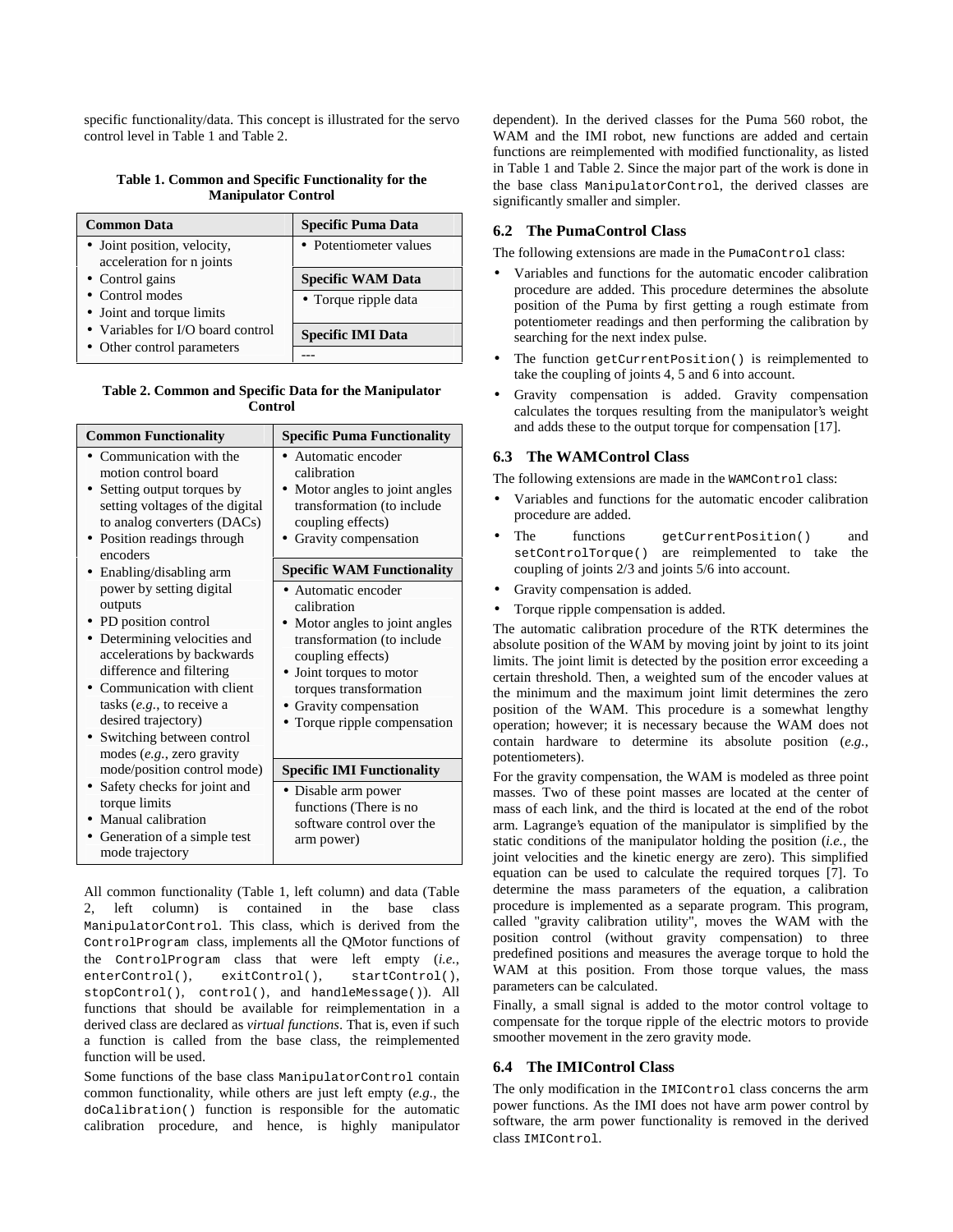specific functionality/data. This concept is illustrated for the servo control level in Table 1 and Table 2.

#### **Table 1. Common and Specific Functionality for the Manipulator Control**

| <b>Common Data</b>                | <b>Specific Puma Data</b> |
|-----------------------------------|---------------------------|
| • Joint position, velocity,       | • Potentiometer values    |
| acceleration for n joints         |                           |
| • Control gains                   | <b>Specific WAM Data</b>  |
| • Control modes                   | • Torque ripple data      |
| • Joint and torque limits         |                           |
| • Variables for I/O board control | <b>Specific IMI Data</b>  |
| • Other control parameters        |                           |

#### **Table 2. Common and Specific Data for the Manipulator Control**

| <b>Common Functionality</b>                                                                                                                                                                                                                                                                                                                                                                                                                                                                                                   | <b>Specific Puma Functionality</b>                                                                                                                                                                                                                                                                                                                                                                                            |  |  |  |  |
|-------------------------------------------------------------------------------------------------------------------------------------------------------------------------------------------------------------------------------------------------------------------------------------------------------------------------------------------------------------------------------------------------------------------------------------------------------------------------------------------------------------------------------|-------------------------------------------------------------------------------------------------------------------------------------------------------------------------------------------------------------------------------------------------------------------------------------------------------------------------------------------------------------------------------------------------------------------------------|--|--|--|--|
| Communication with the<br>motion control board<br>• Setting output torques by<br>setting voltages of the digital<br>to analog converters (DACs)<br>• Position readings through<br>encoders<br>• Enabling/disabling arm<br>power by setting digital<br>outputs<br>• PD position control<br>Determining velocities and<br>accelerations by backwards<br>difference and filtering<br>Communication with client<br>tasks $(e.g., to receive a$<br>desired trajectory)<br>Switching between control<br>modes $(e.g.,$ zero gravity | • Automatic encoder<br>calibration<br>• Motor angles to joint angles<br>transformation (to include<br>coupling effects)<br>Gravity compensation<br><b>Specific WAM Functionality</b><br>• Automatic encoder<br>calibration<br>• Motor angles to joint angles<br>transformation (to include<br>coupling effects)<br>• Joint torques to motor<br>torques transformation<br>• Gravity compensation<br>Torque ripple compensation |  |  |  |  |
| mode/position control mode)<br>Safety checks for joint and<br>torque limits<br>Manual calibration<br>Generation of a simple test<br>mode trajectory                                                                                                                                                                                                                                                                                                                                                                           | <b>Specific IMI Functionality</b><br>• Disable arm power<br>functions (There is no<br>software control over the<br>arm power)                                                                                                                                                                                                                                                                                                 |  |  |  |  |

All common functionality (Table 1, left column) and data (Table 2, left column) is contained in the base class ManipulatorControl. This class, which is derived from the ControlProgram class, implements all the QMotor functions of the ControlProgram class that were left empty (*i.e.*, enterControl(), exitControl(), startControl(), stopControl(), control(), and handleMessage()). All functions that should be available for reimplementation in a derived class are declared as *virtual functions*. That is, even if such a function is called from the base class, the reimplemented function will be used.

Some functions of the base class ManipulatorControl contain common functionality, while others are just left empty (*e.g.*, the doCalibration() function is responsible for the automatic calibration procedure, and hence, is highly manipulator dependent). In the derived classes for the Puma 560 robot, the WAM and the IMI robot, new functions are added and certain functions are reimplemented with modified functionality, as listed in Table 1 and Table 2. Since the major part of the work is done in the base class ManipulatorControl, the derived classes are significantly smaller and simpler.

## **6.2 The PumaControl Class**

The following extensions are made in the PumaControl class:

- Variables and functions for the automatic encoder calibration procedure are added. This procedure determines the absolute position of the Puma by first getting a rough estimate from potentiometer readings and then performing the calibration by searching for the next index pulse.
- The function getCurrentPosition() is reimplemented to take the coupling of joints 4, 5 and 6 into account.
- Gravity compensation is added. Gravity compensation calculates the torques resulting from the manipulator's weight and adds these to the output torque for compensation [17].

## **6.3 The WAMControl Class**

The following extensions are made in the WAMControl class:

- Variables and functions for the automatic encoder calibration procedure are added.
- The functions getCurrentPosition() and setControlTorque() are reimplemented to take the coupling of joints 2/3 and joints 5/6 into account.
- Gravity compensation is added.
- Torque ripple compensation is added.

The automatic calibration procedure of the RTK determines the absolute position of the WAM by moving joint by joint to its joint limits. The joint limit is detected by the position error exceeding a certain threshold. Then, a weighted sum of the encoder values at the minimum and the maximum joint limit determines the zero position of the WAM. This procedure is a somewhat lengthy operation; however; it is necessary because the WAM does not contain hardware to determine its absolute position (*e.g.*, potentiometers).

For the gravity compensation, the WAM is modeled as three point masses. Two of these point masses are located at the center of mass of each link, and the third is located at the end of the robot arm. Lagrange's equation of the manipulator is simplified by the static conditions of the manipulator holding the position (*i.e.*, the joint velocities and the kinetic energy are zero). This simplified equation can be used to calculate the required torques [7]. To determine the mass parameters of the equation, a calibration procedure is implemented as a separate program. This program, called "gravity calibration utility", moves the WAM with the position control (without gravity compensation) to three predefined positions and measures the average torque to hold the WAM at this position. From those torque values, the mass parameters can be calculated.

Finally, a small signal is added to the motor control voltage to compensate for the torque ripple of the electric motors to provide smoother movement in the zero gravity mode.

### **6.4 The IMIControl Class**

The only modification in the IMIControl class concerns the arm power functions. As the IMI does not have arm power control by software, the arm power functionality is removed in the derived class IMIControl.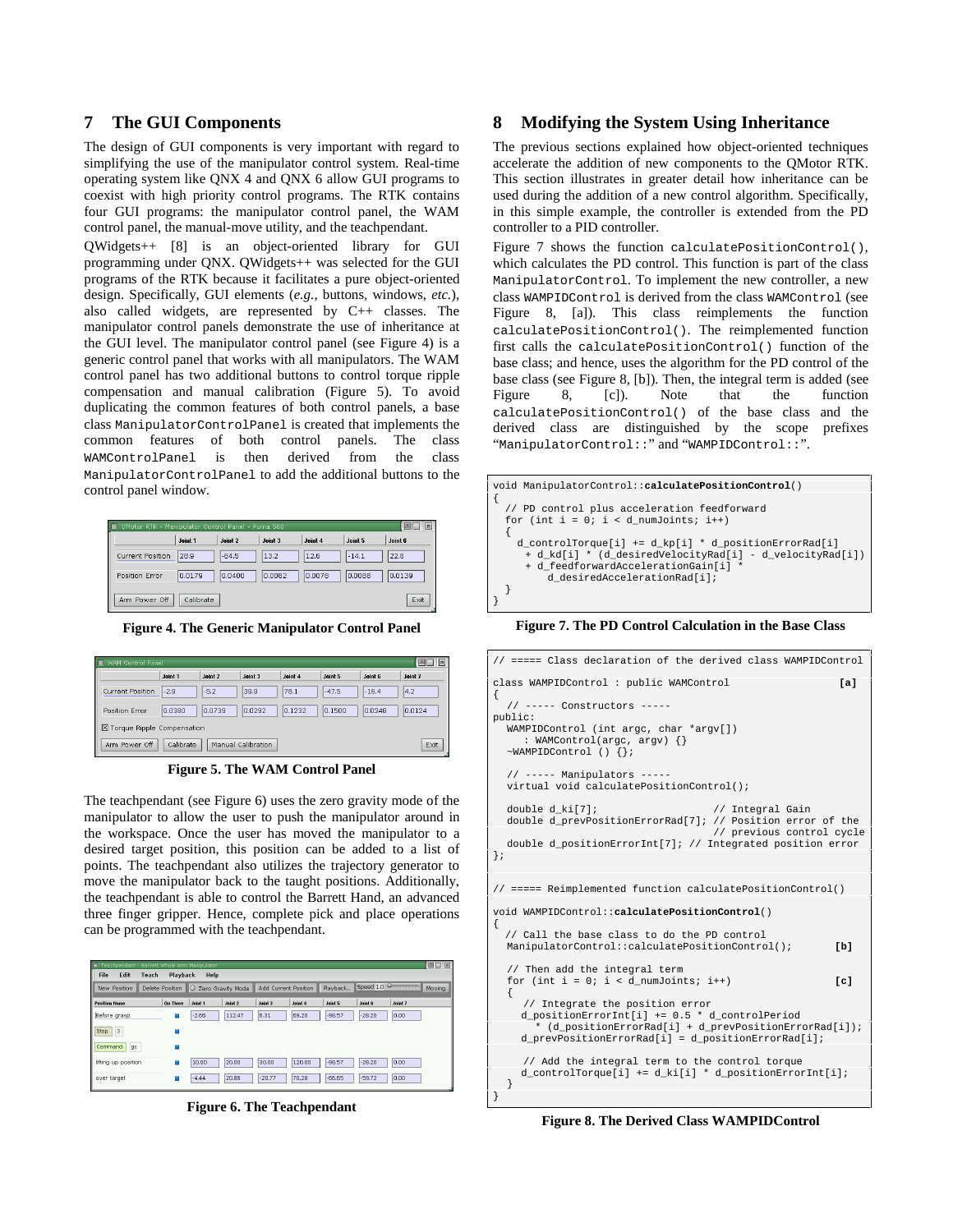#### **7 The GUI Components**

The design of GUI components is very important with regard to simplifying the use of the manipulator control system. Real-time operating system like QNX 4 and QNX 6 allow GUI programs to coexist with high priority control programs. The RTK contains four GUI programs: the manipulator control panel, the WAM control panel, the manual-move utility, and the teachpendant.

QWidgets++ [8] is an object-oriented library for GUI programming under QNX. QWidgets++ was selected for the GUI programs of the RTK because it facilitates a pure object-oriented design. Specifically, GUI elements (*e.g.*, buttons, windows, *etc.*), also called widgets, are represented by C++ classes. The manipulator control panels demonstrate the use of inheritance at the GUI level. The manipulator control panel (see Figure 4) is a generic control panel that works with all manipulators. The WAM control panel has two additional buttons to control torque ripple compensation and manual calibration (Figure 5). To avoid duplicating the common features of both control panels, a base class ManipulatorControlPanel is created that implements the common features of both control panels. The class WAMControlPanel is then derived from the class ManipulatorControlPanel to add the additional buttons to the control panel window.

| ≡ OMotor RTK - Manipulator Control Panel - Puma 560 |           |         |         |         |         |         |  |
|-----------------------------------------------------|-----------|---------|---------|---------|---------|---------|--|
|                                                     | Joint 1   | Joint 2 | Joint 3 | Joint 4 | Joint 5 | Joint 6 |  |
| Current Position                                    | 28.9      | $-64.5$ | 13.2    | 12.6    | $-14.1$ | 22.8    |  |
| Position Error                                      | 0.0179    | 0.0400  | 0.0082  | 0.0078  | 0.0088  | 0.0139  |  |
| Arm Power Off                                       | Calibrate |         |         |         |         | Exit    |  |

**Figure 4. The Generic Manipulator Control Panel** 

| 国目回<br><b>El WAM Control Panel</b>                       |         |         |         |         |         |         |         |
|----------------------------------------------------------|---------|---------|---------|---------|---------|---------|---------|
|                                                          | Joint 1 | Joint 2 | Joint 3 | Joint 4 | Joint 5 | Joint 6 | Joint 7 |
| <b>Current Position</b>                                  | $-2.9$  | $-5.2$  | 39.9    | 78.1    | $-47.5$ | $-16.4$ | 4.2     |
| Position Error                                           | 0.0380  | 0.0739  | 0.0292  | 0.1232  | 0.1500  | 0.0348  | 0.0124  |
| X Torque Ripple Compensation                             |         |         |         |         |         |         |         |
| Exit<br>Arm Power Off<br>Calibrate<br>Manual Calibration |         |         |         |         |         |         |         |

**Figure 5. The WAM Control Panel** 

The teachpendant (see Figure 6) uses the zero gravity mode of the manipulator to allow the user to push the manipulator around in the workspace. Once the user has moved the manipulator to a desired target position, this position can be added to a list of points. The teachpendant also utilizes the trajectory generator to move the manipulator back to the taught positions. Additionally, the teachpendant is able to control the Barrett Hand, an advanced three finger gripper. Hence, complete pick and place operations can be programmed with the teachpendant.

| Teachpendant<br>н<br>Edit<br>File<br>Teach | Playback                              | Barrett Whole Arm Manipulator<br>Help |         |                                                 |         |          |          |         | 图口 回 |
|--------------------------------------------|---------------------------------------|---------------------------------------|---------|-------------------------------------------------|---------|----------|----------|---------|------|
| New Position                               | Delete Position   O Zero Gravity Mode |                                       |         | Speed 1.0 D<br>Playback<br>Add Current Position |         |          |          | Moving  |      |
| <b>Position Name</b>                       | <b>Go There</b>                       | Joint 1                               | Joint 2 | Joint 3                                         | Joint 4 | Joint 5  | Joint 6  | Joint 7 |      |
| Before grasp                               | Ξ                                     | $-2.66$                               | 112.47  | 6.31                                            | 69.20   | $-98.57$ | $-28.20$ | 0.00    |      |
| 3<br>Stop                                  |                                       |                                       |         |                                                 |         |          |          |         |      |
| Command<br>gc                              | Ξ                                     |                                       |         |                                                 |         |          |          |         |      |
| lifting up position                        | Ω                                     | 10.00                                 | 20.00   | 30.00                                           | 120.00  | $-98.57$ | $-28.20$ | 0.00    |      |
| over target                                | Ξ                                     | $-4.44$                               | 20.86   | $-20.77$                                        | 70.28   | $-66.65$ | $-59.72$ | 0.00    |      |

**Figure 6. The Teachpendant** 

## **8 Modifying the System Using Inheritance**

The previous sections explained how object-oriented techniques accelerate the addition of new components to the QMotor RTK. This section illustrates in greater detail how inheritance can be used during the addition of a new control algorithm. Specifically, in this simple example, the controller is extended from the PD controller to a PID controller.

Figure 7 shows the function calculatePositionControl(), which calculates the PD control. This function is part of the class ManipulatorControl. To implement the new controller, a new class WAMPIDControl is derived from the class WAMControl (see Figure 8, [a]). This class reimplements the function calculatePositionControl(). The reimplemented function first calls the calculatePositionControl() function of the base class; and hence, uses the algorithm for the PD control of the base class (see Figure 8, [b]). Then, the integral term is added (see Figure 8, [c]). Note that the function calculatePositionControl() of the base class and the derived class are distinguished by the scope prefixes "ManipulatorControl::" and "WAMPIDControl::".



**Figure 7. The PD Control Calculation in the Base Class** 

| // ===== Class declaration of the derived class WAMPIDControl                                                                                                                                       |  |
|-----------------------------------------------------------------------------------------------------------------------------------------------------------------------------------------------------|--|
| class WAMPIDControl : public WAMControl<br>Ta1<br>€                                                                                                                                                 |  |
| // ----- Constructors -----<br>public:                                                                                                                                                              |  |
| WAMPIDControl (int argc, char *argv[])<br>: WAMControl(argc, argy) $\{\}$<br>$~\sim$ WAMPIDControl () {};                                                                                           |  |
| $//$ ----- Manipulators -----<br>virtual void calculatePositionControl();                                                                                                                           |  |
| double d ki[7];<br>// Integral Gain<br>double d prevPositionErrorRad[7]; // Position error of the<br>// previous control cycle                                                                      |  |
| double d_positionErrorInt[7]; // Integrated position error<br>};                                                                                                                                    |  |
| // ===== Reimplemented function calculatePositionControl()                                                                                                                                          |  |
| void WAMPIDControl::calculatePositionControl()<br>Ł                                                                                                                                                 |  |
| // Call the base class to do the PD control<br>ManipulatorControl::calculatePositionControl();<br>[b]                                                                                               |  |
| // Then add the integral term<br>for (int $i = 0$ ; $i < d$ numJoints; $i++)$<br>f c1<br>€                                                                                                          |  |
| // Integrate the position error<br>d positionErrorInt[i] $+= 0.5 * d$ controlPeriod<br>* (d positionErrorRad[i] + d prevPositionErrorRad[i]);<br>d prevPositionErrorRad[i] = d positionErrorRad[i]; |  |
| // Add the integral term to the control torque<br>$d_{\text{controlTorque}[i] += d_k[i] * d_{\text{positionErrorInt}[i]},$<br>ł                                                                     |  |

**Figure 8. The Derived Class WAMPIDControl**